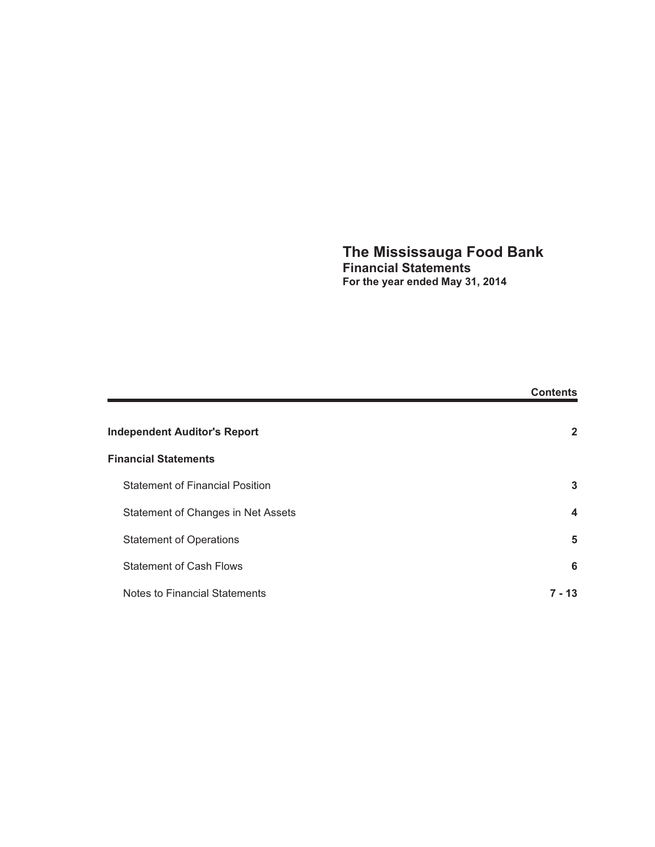## **The Mississauga Food Bank Financial Statements For the year ended May 31, 2014**

|                                        | <b>Contents</b>  |
|----------------------------------------|------------------|
| <b>Independent Auditor's Report</b>    | $\mathbf{2}$     |
| <b>Financial Statements</b>            |                  |
| <b>Statement of Financial Position</b> | 3                |
| Statement of Changes in Net Assets     | $\boldsymbol{4}$ |
| <b>Statement of Operations</b>         | 5                |
| <b>Statement of Cash Flows</b>         | 6                |
| Notes to Financial Statements          | 7 - 13           |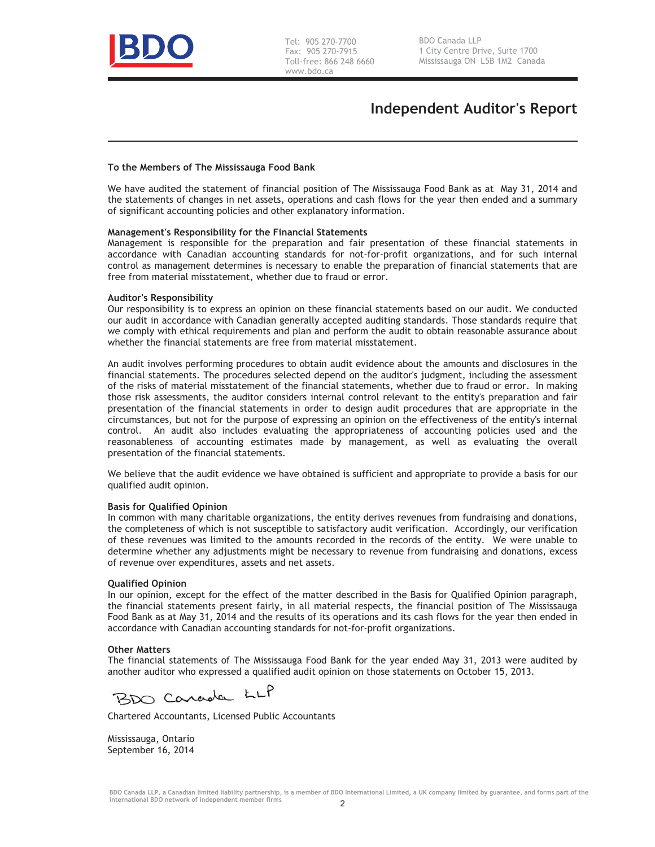

## **Independent Auditor's Report**

#### **To the Members of The Mississauga Food Bank**

We have audited the statement of financial position of The Mississauga Food Bank as at May 31, 2014 and the statements of changes in net assets, operations and cash flows for the year then ended and a summary of significant accounting policies and other explanatory information.

#### **Management's Responsibility for the Financial Statements**

Management is responsible for the preparation and fair presentation of these financial statements in accordance with Canadian accounting standards for not-for-profit organizations, and for such internal control as management determines is necessary to enable the preparation of financial statements that are free from material misstatement, whether due to fraud or error.

#### **Auditor's Responsibility**

Our responsibility is to express an opinion on these financial statements based on our audit. We conducted our audit in accordance with Canadian generally accepted auditing standards. Those standards require that we comply with ethical requirements and plan and perform the audit to obtain reasonable assurance about whether the financial statements are free from material misstatement.

An audit involves performing procedures to obtain audit evidence about the amounts and disclosures in the financial statements. The procedures selected depend on the auditor's judgment, including the assessment of the risks of material misstatement of the financial statements, whether due to fraud or error. In making those risk assessments, the auditor considers internal control relevant to the entity's preparation and fair presentation of the financial statements in order to design audit procedures that are appropriate in the circumstances, but not for the purpose of expressing an opinion on the effectiveness of the entity's internal control. An audit also includes evaluating the appropriateness of accounting policies used and the reasonableness of accounting estimates made by management, as well as evaluating the overall presentation of the financial statements.

We believe that the audit evidence we have obtained is sufficient and appropriate to provide a basis for our qualified audit opinion.

#### **Basis for Qualified Opinion**

In common with many charitable organizations, the entity derives revenues from fundraising and donations, the completeness of which is not susceptible to satisfactory audit verification. Accordingly, our verification of these revenues was limited to the amounts recorded in the records of the entity. We were unable to determine whether any adjustments might be necessary to revenue from fundraising and donations, excess of revenue over expenditures, assets and net assets.

#### **Qualified Opinion**

In our opinion, except for the effect of the matter described in the Basis for Qualified Opinion paragraph, the financial statements present fairly, in all material respects, the financial position of The Mississauga Food Bank as at May 31, 2014 and the results of its operations and its cash flows for the year then ended in accordance with Canadian accounting standards for not-for-profit organizations.

#### **Other Matters**

The financial statements of The Mississauga Food Bank for the year ended May 31, 2013 were audited by another auditor who expressed a qualified audit opinion on those statements on October 15, 2013.

BDO Carada LLP

Chartered Accountants, Licensed Public Accountants

Mississauga, Ontario September 16, 2014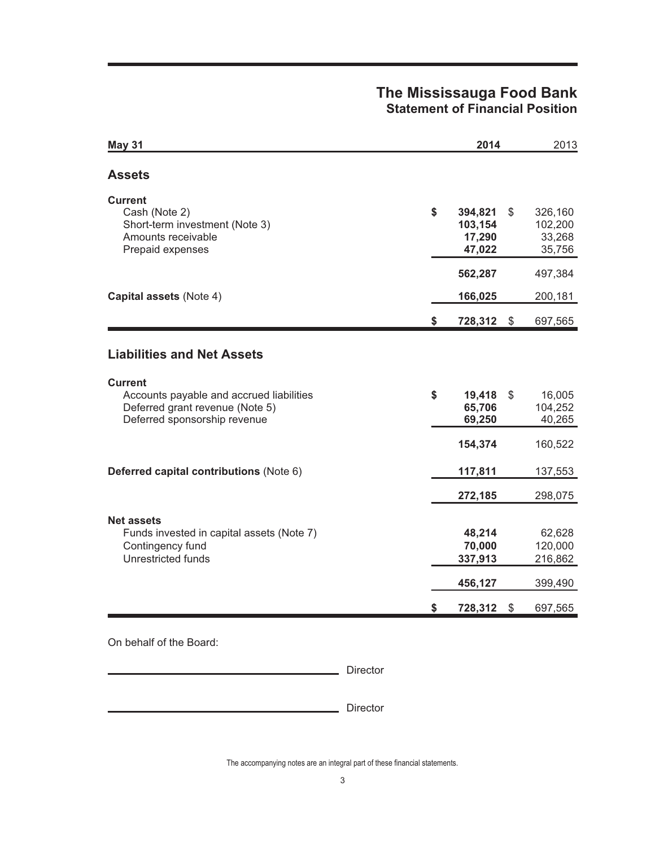## **The Mississauga Food Bank Statement of Financial Position**

| <b>May 31</b>                                                                                                                 | 2014                                         |              | 2013                                    |
|-------------------------------------------------------------------------------------------------------------------------------|----------------------------------------------|--------------|-----------------------------------------|
| <b>Assets</b>                                                                                                                 |                                              |              |                                         |
| <b>Current</b><br>Cash (Note 2)<br>Short-term investment (Note 3)<br>Amounts receivable<br>Prepaid expenses                   | \$<br>394,821<br>103,154<br>17,290<br>47,022 | \$           | 326,160<br>102,200<br>33,268<br>35,756  |
|                                                                                                                               | 562,287                                      |              | 497,384                                 |
| Capital assets (Note 4)                                                                                                       | 166,025                                      |              | 200,181                                 |
|                                                                                                                               | \$<br>728,312 \$                             |              | 697,565                                 |
| <b>Liabilities and Net Assets</b>                                                                                             |                                              |              |                                         |
| <b>Current</b><br>Accounts payable and accrued liabilities<br>Deferred grant revenue (Note 5)<br>Deferred sponsorship revenue | \$<br>19,418<br>65,706<br>69,250             | $\mathbb{S}$ | 16,005<br>104,252<br>40,265             |
|                                                                                                                               | 154,374                                      |              | 160,522                                 |
| Deferred capital contributions (Note 6)                                                                                       | 117,811                                      |              | 137,553                                 |
|                                                                                                                               | 272,185                                      |              | 298,075                                 |
| <b>Net assets</b><br>Funds invested in capital assets (Note 7)<br>Contingency fund<br>Unrestricted funds                      | 48,214<br>70,000<br>337,913<br>456,127       |              | 62,628<br>120,000<br>216,862<br>399,490 |
|                                                                                                                               | \$<br>728,312                                | \$           | 697,565                                 |

On behalf of the Board:

Director

Director

The accompanying notes are an integral part of these financial statements.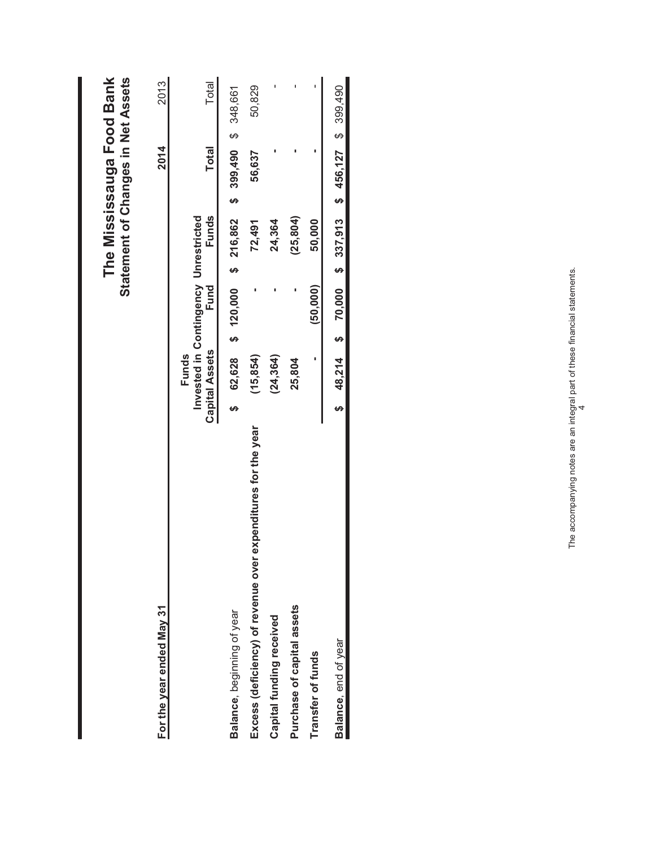| For the year ended May 31                                        |    |                                                                        |          |           | 2014                                              | 2013   |
|------------------------------------------------------------------|----|------------------------------------------------------------------------|----------|-----------|---------------------------------------------------|--------|
|                                                                  |    | Invested in Contingency Unrestricted<br><b>Capital Assets</b><br>Funds | Fund     | Funds     | <b>Total</b>                                      | Total  |
| Balance, beginning of year                                       |    | $62,628$ \$ 120,000 \$ 216,862                                         |          |           | \$ 399,490 \$ 348,661                             |        |
| expenditures for the year<br>Excess (deficiency) of revenue over |    | (15, 854)                                                              |          | 72,491    | 56,637                                            | 50,829 |
| Capital funding received                                         |    | (24, 364)                                                              |          | 24,364    |                                                   |        |
| Purchase of capital assets                                       |    | 25,804                                                                 |          | (25, 804) |                                                   |        |
| Transfer of funds                                                |    |                                                                        | (50.000) | 50,000    |                                                   |        |
| Balance, end of year                                             | မာ |                                                                        |          |           | 48,214 \$ 70,000 \$ 337,913 \$ 456,127 \$ 399,490 |        |

The Mississauga Food Bank<br>Statement of Changes in Net Assets  **The Mississauga Food Bank Statement of Changes in Net Assets**

The accompanying notes are an integral part of these financial statements. The accompanying notes are an integral part of these financial statements.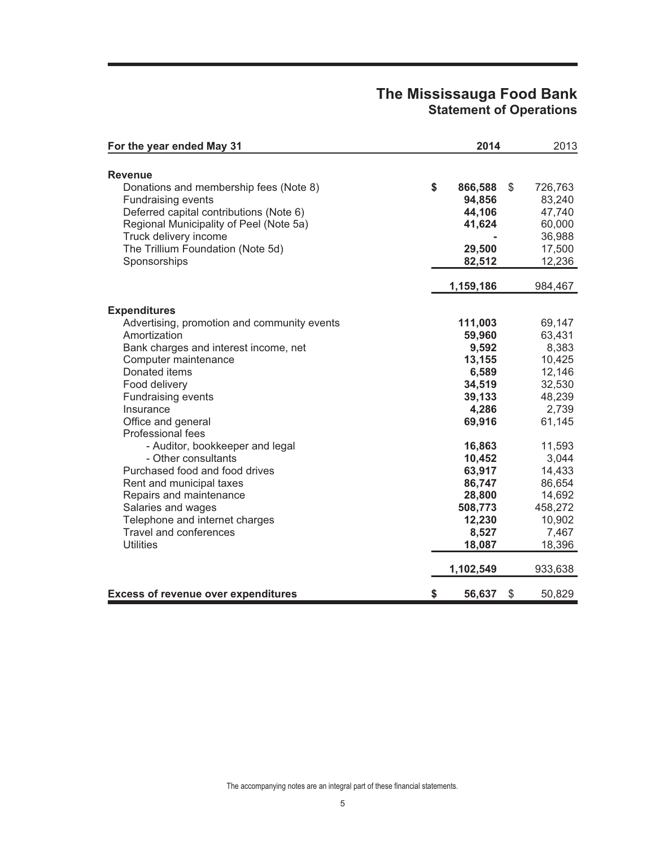## **The Mississauga Food Bank Statement of Operations**

| For the year ended May 31                                                                                                                                                                                                                                                                                                                                                                              | 2014                                                                                                                                   | 2013                                                                                                                                  |
|--------------------------------------------------------------------------------------------------------------------------------------------------------------------------------------------------------------------------------------------------------------------------------------------------------------------------------------------------------------------------------------------------------|----------------------------------------------------------------------------------------------------------------------------------------|---------------------------------------------------------------------------------------------------------------------------------------|
| <b>Revenue</b>                                                                                                                                                                                                                                                                                                                                                                                         |                                                                                                                                        |                                                                                                                                       |
| Donations and membership fees (Note 8)<br><b>Fundraising events</b><br>Deferred capital contributions (Note 6)<br>Regional Municipality of Peel (Note 5a)<br>Truck delivery income<br>The Trillium Foundation (Note 5d)<br>Sponsorships                                                                                                                                                                | \$<br>866,588<br>94,856<br>44,106<br>41,624<br>29,500<br>82,512<br>1,159,186                                                           | \$<br>726,763<br>83,240<br>47,740<br>60,000<br>36,988<br>17,500<br>12,236<br>984,467                                                  |
| <b>Expenditures</b>                                                                                                                                                                                                                                                                                                                                                                                    |                                                                                                                                        |                                                                                                                                       |
| Advertising, promotion and community events<br>Amortization<br>Bank charges and interest income, net<br>Computer maintenance<br>Donated items<br>Food delivery<br><b>Fundraising events</b><br>Insurance<br>Office and general<br>Professional fees<br>- Auditor, bookkeeper and legal<br>- Other consultants<br>Purchased food and food drives<br>Rent and municipal taxes<br>Repairs and maintenance | 111,003<br>59,960<br>9,592<br>13,155<br>6,589<br>34,519<br>39,133<br>4,286<br>69,916<br>16,863<br>10,452<br>63,917<br>86,747<br>28,800 | 69,147<br>63,431<br>8,383<br>10,425<br>12,146<br>32,530<br>48,239<br>2,739<br>61,145<br>11,593<br>3,044<br>14,433<br>86,654<br>14,692 |
| Salaries and wages<br>Telephone and internet charges<br><b>Travel and conferences</b><br><b>Utilities</b>                                                                                                                                                                                                                                                                                              | 508,773<br>12,230<br>8,527<br>18,087<br>1,102,549                                                                                      | 458,272<br>10,902<br>7,467<br>18,396<br>933,638                                                                                       |
| <b>Excess of revenue over expenditures</b>                                                                                                                                                                                                                                                                                                                                                             | \$<br>56,637                                                                                                                           | \$<br>50,829                                                                                                                          |

The accompanying notes are an integral part of these financial statements.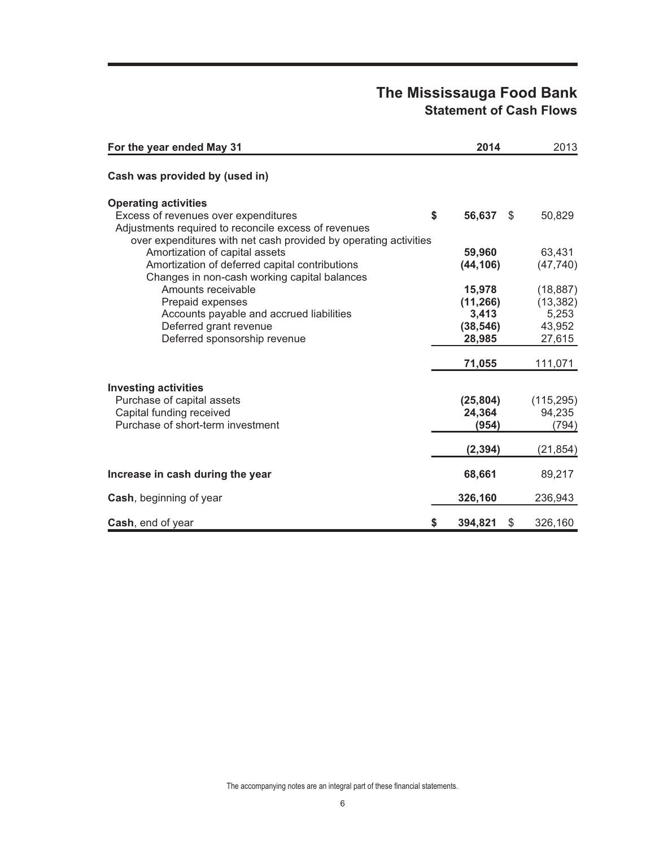# **The Mississauga Food Bank Statement of Cash Flows**

| For the year ended May 31                                                                          | 2014                | 2013       |
|----------------------------------------------------------------------------------------------------|---------------------|------------|
| Cash was provided by (used in)                                                                     |                     |            |
| <b>Operating activities</b>                                                                        |                     |            |
| Excess of revenues over expenditures                                                               | \$<br>56,637<br>\$  | 50,829     |
| Adjustments required to reconcile excess of revenues                                               |                     |            |
| over expenditures with net cash provided by operating activities<br>Amortization of capital assets | 59,960              | 63,431     |
| Amortization of deferred capital contributions                                                     | (44, 106)           | (47, 740)  |
| Changes in non-cash working capital balances                                                       |                     |            |
| Amounts receivable                                                                                 | 15,978              | (18, 887)  |
| Prepaid expenses                                                                                   | (11, 266)           | (13, 382)  |
| Accounts payable and accrued liabilities                                                           | 3,413               | 5,253      |
| Deferred grant revenue                                                                             | (38, 546)           | 43,952     |
| Deferred sponsorship revenue                                                                       | 28,985              | 27,615     |
|                                                                                                    | 71,055              | 111,071    |
| <b>Investing activities</b>                                                                        |                     |            |
| Purchase of capital assets                                                                         | (25, 804)           | (115, 295) |
| Capital funding received                                                                           | 24,364              | 94,235     |
| Purchase of short-term investment                                                                  | (954)               | (794)      |
|                                                                                                    | (2, 394)            | (21, 854)  |
| Increase in cash during the year                                                                   | 68,661              | 89,217     |
| Cash, beginning of year                                                                            | 326,160             | 236,943    |
|                                                                                                    |                     |            |
| Cash, end of year                                                                                  | \$<br>394,821<br>\$ | 326,160    |

The accompanying notes are an integral part of these financial statements.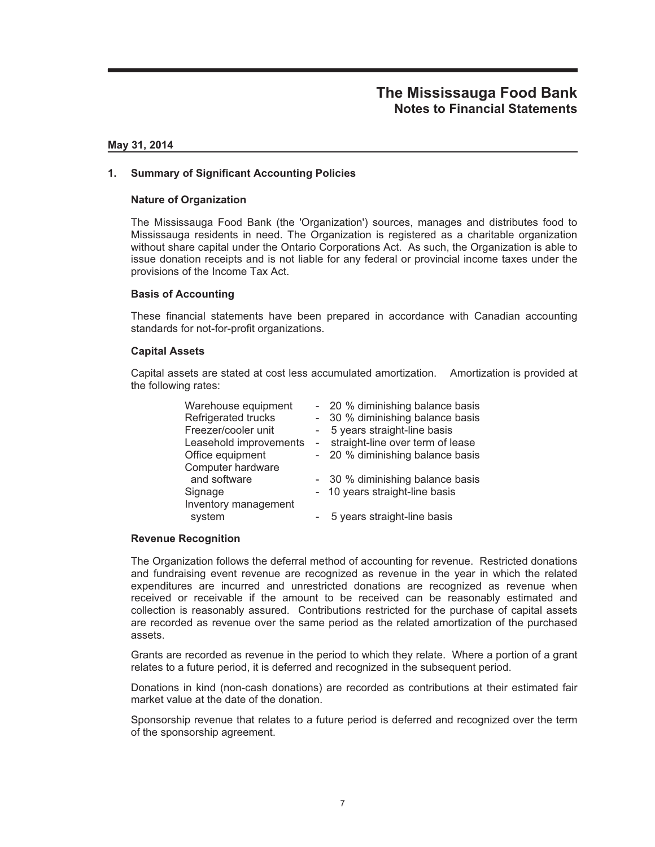### **May 31, 2014**

### **1. Summary of Significant Accounting Policies**

### **Nature of Organization**

The Mississauga Food Bank (the 'Organization') sources, manages and distributes food to Mississauga residents in need. The Organization is registered as a charitable organization without share capital under the Ontario Corporations Act. As such, the Organization is able to issue donation receipts and is not liable for any federal or provincial income taxes under the provisions of the Income Tax Act.

### **Basis of Accounting**

These financial statements have been prepared in accordance with Canadian accounting standards for not-for-profit organizations.

#### **Capital Assets**

Capital assets are stated at cost less accumulated amortization. Amortization is provided at the following rates:

| Warehouse equipment    |        | - 20 % diminishing balance basis |
|------------------------|--------|----------------------------------|
| Refrigerated trucks    | $\sim$ | 30 % diminishing balance basis   |
| Freezer/cooler unit    |        | 5 years straight-line basis      |
| Leasehold improvements | $\sim$ | straight-line over term of lease |
| Office equipment       |        | - 20 % diminishing balance basis |
| Computer hardware      |        |                                  |
| and software           |        | - 30 % diminishing balance basis |
| Signage                |        | - 10 years straight-line basis   |
| Inventory management   |        |                                  |
| system                 |        | 5 years straight-line basis      |

#### **Revenue Recognition**

The Organization follows the deferral method of accounting for revenue. Restricted donations and fundraising event revenue are recognized as revenue in the year in which the related expenditures are incurred and unrestricted donations are recognized as revenue when received or receivable if the amount to be received can be reasonably estimated and collection is reasonably assured. Contributions restricted for the purchase of capital assets are recorded as revenue over the same period as the related amortization of the purchased assets.

Grants are recorded as revenue in the period to which they relate. Where a portion of a grant relates to a future period, it is deferred and recognized in the subsequent period.

Donations in kind (non-cash donations) are recorded as contributions at their estimated fair market value at the date of the donation.

Sponsorship revenue that relates to a future period is deferred and recognized over the term of the sponsorship agreement.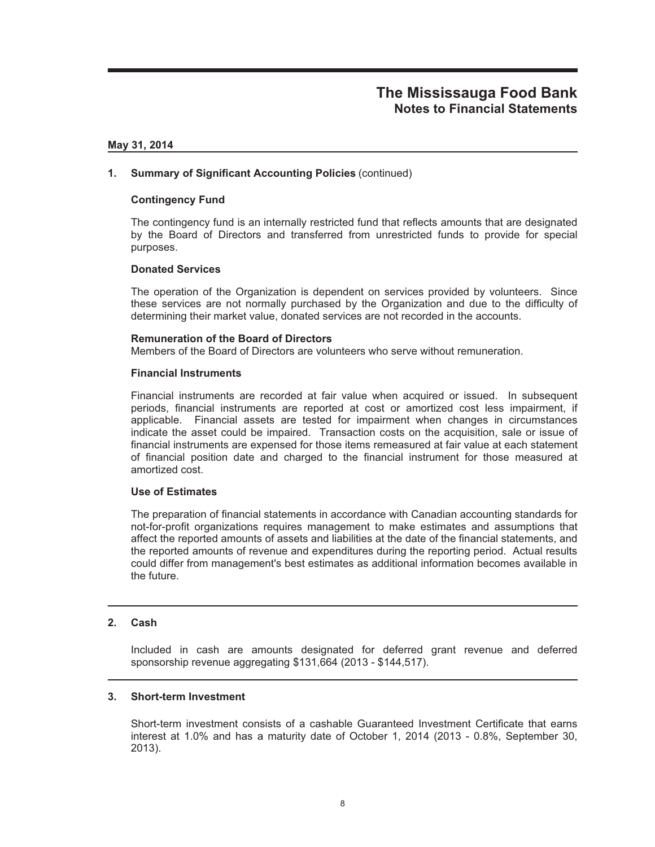### **May 31, 2014**

### **1. Summary of Significant Accounting Policies** (continued)

### **Contingency Fund**

The contingency fund is an internally restricted fund that reflects amounts that are designated by the Board of Directors and transferred from unrestricted funds to provide for special purposes.

#### **Donated Services**

The operation of the Organization is dependent on services provided by volunteers. Since these services are not normally purchased by the Organization and due to the difficulty of determining their market value, donated services are not recorded in the accounts.

### **Remuneration of the Board of Directors**

Members of the Board of Directors are volunteers who serve without remuneration.

### **Financial Instruments**

Financial instruments are recorded at fair value when acquired or issued. In subsequent periods, financial instruments are reported at cost or amortized cost less impairment, if applicable. Financial assets are tested for impairment when changes in circumstances indicate the asset could be impaired. Transaction costs on the acquisition, sale or issue of financial instruments are expensed for those items remeasured at fair value at each statement of financial position date and charged to the financial instrument for those measured at amortized cost.

#### **Use of Estimates**

The preparation of financial statements in accordance with Canadian accounting standards for not-for-profit organizations requires management to make estimates and assumptions that affect the reported amounts of assets and liabilities at the date of the financial statements, and the reported amounts of revenue and expenditures during the reporting period. Actual results could differ from management's best estimates as additional information becomes available in the future.

#### **2. Cash**

Included in cash are amounts designated for deferred grant revenue and deferred sponsorship revenue aggregating \$131,664 (2013 - \$144,517).

#### **3. Short-term Investment**

Short-term investment consists of a cashable Guaranteed Investment Certificate that earns interest at 1.0% and has a maturity date of October 1, 2014 (2013 - 0.8%, September 30, 2013).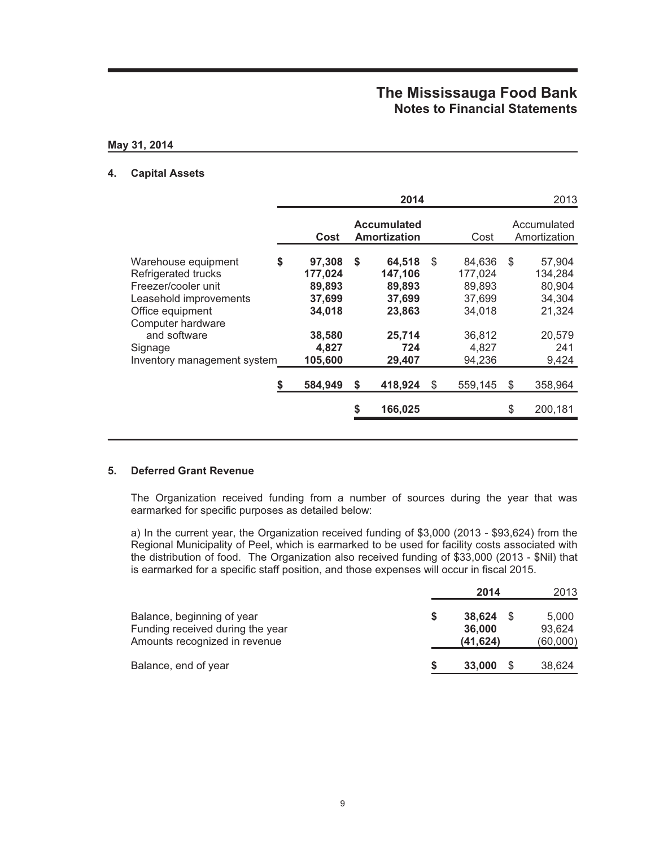### **May 31, 2014**

## **4. Capital Assets**

|                                                                                                                                                                                                |                                                                                     |    | 2014                                                                       |                                                                                    | 2013                                                                            |
|------------------------------------------------------------------------------------------------------------------------------------------------------------------------------------------------|-------------------------------------------------------------------------------------|----|----------------------------------------------------------------------------|------------------------------------------------------------------------------------|---------------------------------------------------------------------------------|
|                                                                                                                                                                                                | Cost                                                                                |    | <b>Accumulated</b><br><b>Amortization</b>                                  | Cost                                                                               | Accumulated<br>Amortization                                                     |
| Warehouse equipment<br>Refrigerated trucks<br>Freezer/cooler unit<br>Leasehold improvements<br>Office equipment<br>Computer hardware<br>and software<br>Signage<br>Inventory management system | \$<br>97,308<br>177,024<br>89,893<br>37,699<br>34,018<br>38,580<br>4,827<br>105,600 | \$ | 64,518<br>147,106<br>89,893<br>37,699<br>23,863<br>25.714<br>724<br>29,407 | \$<br>84,636<br>177.024<br>89,893<br>37.699<br>34,018<br>36,812<br>4,827<br>94,236 | \$<br>57,904<br>134,284<br>80,904<br>34,304<br>21,324<br>20,579<br>241<br>9,424 |
|                                                                                                                                                                                                | 584,949                                                                             | S  | 418,924                                                                    | \$<br>559,145                                                                      | \$<br>358,964                                                                   |
|                                                                                                                                                                                                |                                                                                     | \$ | 166,025                                                                    |                                                                                    | \$<br>200,181                                                                   |
|                                                                                                                                                                                                |                                                                                     |    |                                                                            |                                                                                    |                                                                                 |

## **5. Deferred Grant Revenue**

The Organization received funding from a number of sources during the year that was earmarked for specific purposes as detailed below:

a) In the current year, the Organization received funding of \$3,000 (2013 - \$93,624) from the Regional Municipality of Peel, which is earmarked to be used for facility costs associated with the distribution of food. The Organization also received funding of \$33,000 (2013 - \$Nil) that is earmarked for a specific staff position, and those expenses will occur in fiscal 2015.

|                                                                                                 | 2014                          | 2013                        |
|-------------------------------------------------------------------------------------------------|-------------------------------|-----------------------------|
| Balance, beginning of year<br>Funding received during the year<br>Amounts recognized in revenue | 38.624<br>36,000<br>(41, 624) | 5.000<br>93.624<br>(60,000) |
| Balance, end of year                                                                            | 33,000                        | 38,624                      |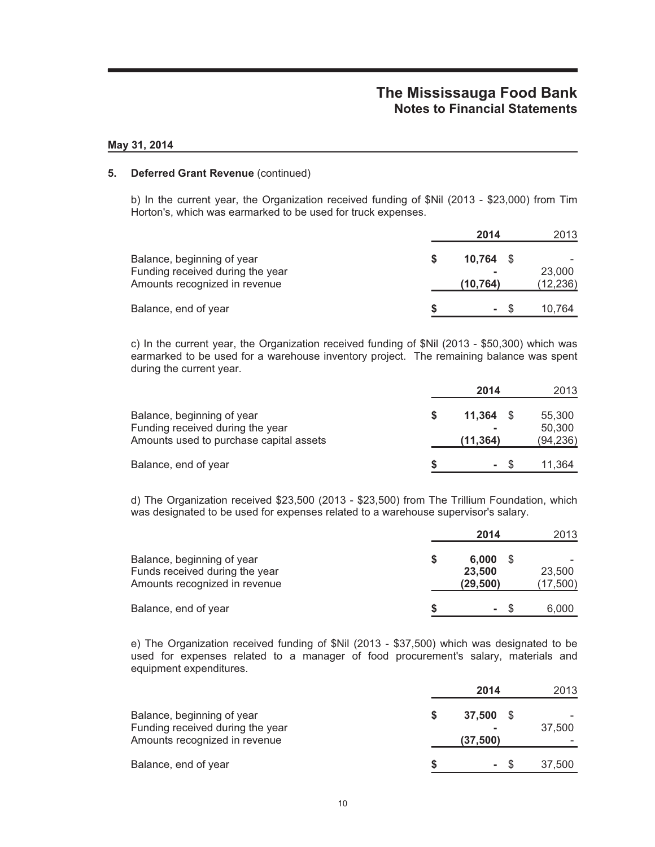### **May 31, 2014**

### **5. Deferred Grant Revenue** (continued)

b) In the current year, the Organization received funding of \$Nil (2013 - \$23,000) from Tim Horton's, which was earmarked to be used for truck expenses.

|                                                                                                 | 2014                    | 2013                |
|-------------------------------------------------------------------------------------------------|-------------------------|---------------------|
| Balance, beginning of year<br>Funding received during the year<br>Amounts recognized in revenue | $10.764$ \$<br>(10,764) | 23,000<br>(12, 236) |
| Balance, end of year                                                                            | - \$                    | 10.764              |

c) In the current year, the Organization received funding of \$Nil (2013 - \$50,300) which was earmarked to be used for a warehouse inventory project. The remaining balance was spent during the current year.

|                                         | 2014        |      | 2013      |
|-----------------------------------------|-------------|------|-----------|
| Balance, beginning of year              | $11.364$ \$ |      | 55,300    |
| Funding received during the year        |             |      | 50,300    |
| Amounts used to purchase capital assets | (11, 364)   |      | (94, 236) |
| Balance, end of year                    |             | - \$ | 11.364    |

d) The Organization received \$23,500 (2013 - \$23,500) from The Trillium Foundation, which was designated to be used for expenses related to a warehouse supervisor's salary.

|                                                                                               |   | 2014                         | 2013               |
|-----------------------------------------------------------------------------------------------|---|------------------------------|--------------------|
| Balance, beginning of year<br>Funds received during the year<br>Amounts recognized in revenue | S | 6.000<br>23,500<br>(29, 500) | 23,500<br>(17,500) |
| Balance, end of year                                                                          |   | - \$                         | 6.000              |

e) The Organization received funding of \$Nil (2013 - \$37,500) which was designated to be used for expenses related to a manager of food procurement's salary, materials and equipment expenditures.

|                                                                                                 | 2014                   | 2013   |
|-------------------------------------------------------------------------------------------------|------------------------|--------|
| Balance, beginning of year<br>Funding received during the year<br>Amounts recognized in revenue | 37,500 \$<br>(37, 500) | 37.500 |
| Balance, end of year                                                                            | $\sim 100$             | 37,500 |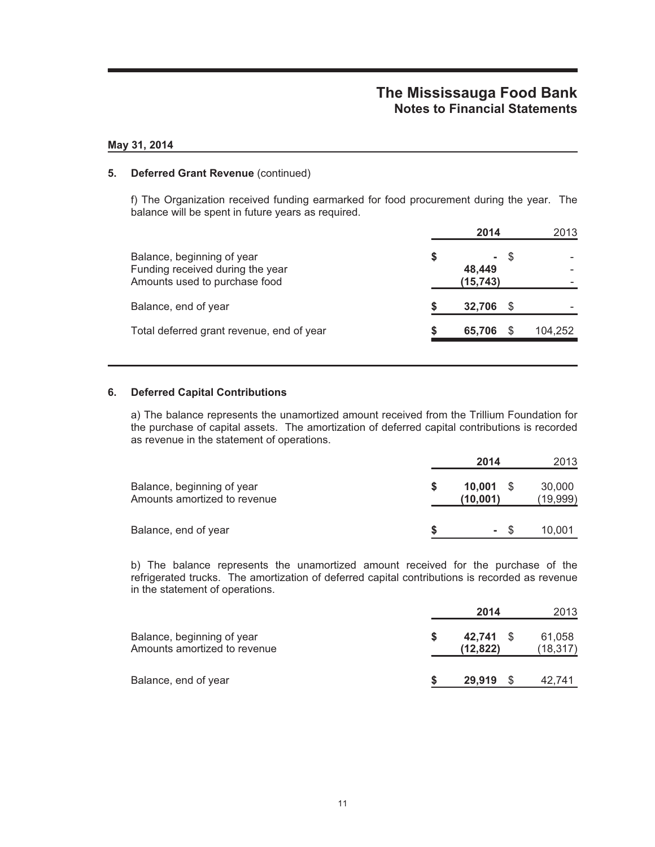### **May 31, 2014**

## **5. Deferred Grant Revenue** (continued)

f) The Organization received funding earmarked for food procurement during the year. The balance will be spent in future years as required.

|                                                                                                 | 2014                      | 2013    |
|-------------------------------------------------------------------------------------------------|---------------------------|---------|
| Balance, beginning of year<br>Funding received during the year<br>Amounts used to purchase food | \$<br>48.449<br>(15, 743) |         |
| Balance, end of year                                                                            | 32.706                    |         |
| Total deferred grant revenue, end of year                                                       | 65,706                    | 104,252 |
|                                                                                                 |                           |         |

## **6. Deferred Capital Contributions**

a) The balance represents the unamortized amount received from the Trillium Foundation for the purchase of capital assets. The amortization of deferred capital contributions is recorded as revenue in the statement of operations.

|                                                            | 2014               |      | 2013               |
|------------------------------------------------------------|--------------------|------|--------------------|
| Balance, beginning of year<br>Amounts amortized to revenue | 10.001<br>(10,001) | - \$ | 30,000<br>(19,999) |
| Balance, end of year                                       |                    | - \$ | 10,001             |

b) The balance represents the unamortized amount received for the purchase of the refrigerated trucks. The amortization of deferred capital contributions is recorded as revenue in the statement of operations.

|                                                            | 2014                   | 2013                |
|------------------------------------------------------------|------------------------|---------------------|
| Balance, beginning of year<br>Amounts amortized to revenue | 42.741 \$<br>(12, 822) | 61,058<br>(18, 317) |
| Balance, end of year                                       | 29,919                 | 42,741              |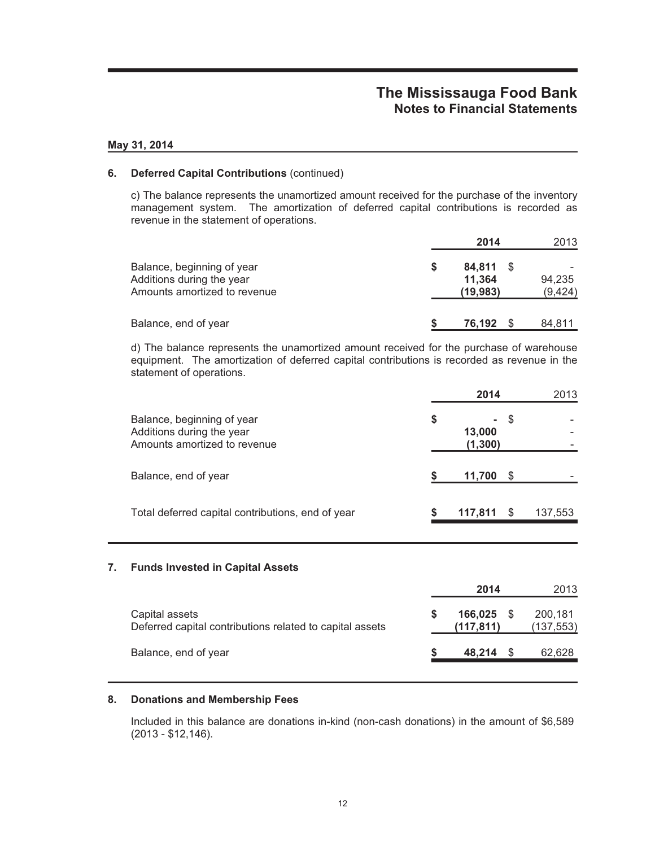### **May 31, 2014**

## **6. Deferred Capital Contributions** (continued)

c) The balance represents the unamortized amount received for the purchase of the inventory management system. The amortization of deferred capital contributions is recorded as revenue in the statement of operations.

|                                                                                         |   | 2014                          | 2013               |
|-----------------------------------------------------------------------------------------|---|-------------------------------|--------------------|
| Balance, beginning of year<br>Additions during the year<br>Amounts amortized to revenue | S | 84.811<br>11.364<br>(19, 983) | 94.235<br>(9, 424) |
| Balance, end of year                                                                    |   | 76.192                        | 84,811             |

d) The balance represents the unamortized amount received for the purchase of warehouse equipment. The amortization of deferred capital contributions is recorded as revenue in the statement of operations.

|                                                                                         |    | 2014               |      | 2013    |
|-----------------------------------------------------------------------------------------|----|--------------------|------|---------|
| Balance, beginning of year<br>Additions during the year<br>Amounts amortized to revenue | \$ | 13,000<br>(1, 300) | - \$ |         |
| Balance, end of year                                                                    |    | 11,700             | \$.  |         |
| Total deferred capital contributions, end of year                                       | S  | 117,811            | -S   | 137,553 |

## **7. Funds Invested in Capital Assets**

|                                                                            | 2014                 | 2013                 |
|----------------------------------------------------------------------------|----------------------|----------------------|
| Capital assets<br>Deferred capital contributions related to capital assets | 166.025<br>(117.811) | 200,181<br>(137,553) |
| Balance, end of year                                                       | 48.214               | 62,628               |

### **8. Donations and Membership Fees**

Included in this balance are donations in-kind (non-cash donations) in the amount of \$6,589 (2013 - \$12,146).